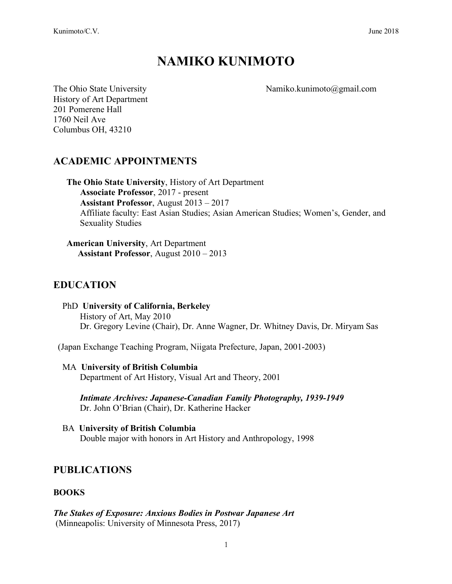# **NAMIKO KUNIMOTO**

The Ohio State University Namiko.kunimoto@gmail.com

History of Art Department 201 Pomerene Hall 1760 Neil Ave Columbus OH, 43210

# **ACADEMIC APPOINTMENTS**

**The Ohio State University**, History of Art Department **Associate Professor**, 2017 - present  **Assistant Professor**, August 2013 – 2017 Affiliate faculty: East Asian Studies; Asian American Studies; Women's, Gender, and Sexuality Studies

**American University**, Art Department  **Assistant Professor**, August 2010 – 2013

## **EDUCATION**

 PhD **University of California, Berkeley** History of Art, May 2010 Dr. Gregory Levine (Chair), Dr. Anne Wagner, Dr. Whitney Davis, Dr. Miryam Sas

(Japan Exchange Teaching Program, Niigata Prefecture, Japan, 2001-2003)

#### MA **University of British Columbia** Department of Art History, Visual Art and Theory, 2001

*Intimate Archives: Japanese-Canadian Family Photography, 1939-1949* Dr. John O'Brian (Chair), Dr. Katherine Hacker

 BA **University of British Columbia** Double major with honors in Art History and Anthropology, 1998

## **PUBLICATIONS**

#### **BOOKS**

*The Stakes of Exposure: Anxious Bodies in Postwar Japanese Art* (Minneapolis: University of Minnesota Press, 2017)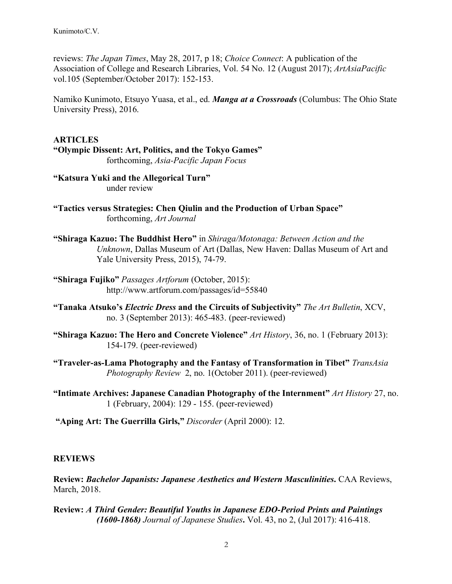reviews: *The Japan Times*, May 28, 2017, p 18; *Choice Connect*: A publication of the Association of College and Research Libraries, Vol. 54 No. 12 (August 2017); *ArtAsiaPacific* vol.105 (September/October 2017): 152-153.

Namiko Kunimoto, Etsuyo Yuasa, et al., ed. *Manga at a Crossroads* (Columbus: The Ohio State University Press), 2016.

**ARTICLES "Olympic Dissent: Art, Politics, and the Tokyo Games"** forthcoming, *Asia-Pacific Japan Focus*

**"Katsura Yuki and the Allegorical Turn"** under review

- **"Tactics versus Strategies: Chen Qiulin and the Production of Urban Space"** forthcoming, *Art Journal*
- **"Shiraga Kazuo: The Buddhist Hero"** in *Shiraga/Motonaga: Between Action and the Unknown*, Dallas Museum of Art (Dallas, New Haven: Dallas Museum of Art and Yale University Press, 2015), 74-79.
- **"Shiraga Fujiko"** *Passages Artforum* (October, 2015): http://www.artforum.com/passages/id=55840
- **"Tanaka Atsuko's** *Electric Dress* **and the Circuits of Subjectivity"** *The Art Bulletin*, XCV, no. 3 (September 2013): 465-483. (peer-reviewed)
- **"Shiraga Kazuo: The Hero and Concrete Violence"** *Art History*, 36, no. 1 (February 2013): 154-179. (peer-reviewed)
- **"Traveler-as-Lama Photography and the Fantasy of Transformation in Tibet"** *TransAsia Photography Review* 2, no. 1(October 2011). (peer-reviewed)
- **"Intimate Archives: Japanese Canadian Photography of the Internment"** *Art History* 27, no. 1 (February, 2004): 129 - 155. (peer-reviewed)

**"Aping Art: The Guerrilla Girls,"** *Discorder* (April 2000): 12.

#### **REVIEWS**

**Review:** *Bachelor Japanists: Japanese Aesthetics and Western Masculinities***.** CAA Reviews, March, 2018.

**Review:** *A Third Gender: Beautiful Youths in Japanese EDO-Period Prints and Paintings (1600-1868) Journal of Japanese Studies***.** Vol. 43, no 2, (Jul 2017): 416-418.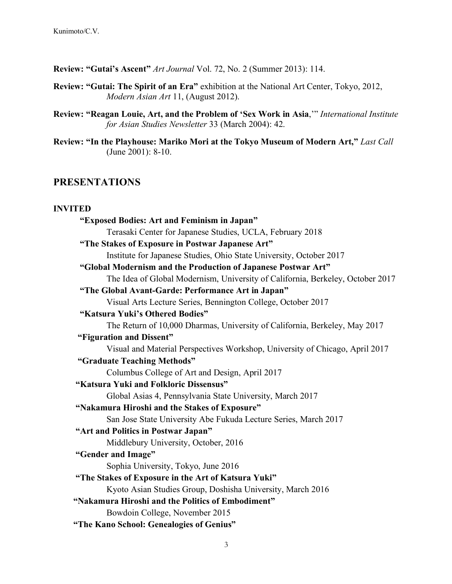**Review: "Gutai's Ascent"** *Art Journal* Vol. 72, No. 2 (Summer 2013): 114.

- **Review: "Gutai: The Spirit of an Era"** exhibition at the National Art Center, Tokyo, 2012, *Modern Asian Art* 11, (August 2012).
- **Review: "Reagan Louie, Art, and the Problem of 'Sex Work in Asia**,'" *International Institute for Asian Studies Newsletter* 33 (March 2004): 42.
- **Review: "In the Playhouse: Mariko Mori at the Tokyo Museum of Modern Art,"** *Last Call* (June 2001): 8-10.

#### **PRESENTATIONS**

#### **INVITED**

| "Exposed Bodies: Art and Feminism in Japan"                                    |
|--------------------------------------------------------------------------------|
| Terasaki Center for Japanese Studies, UCLA, February 2018                      |
| "The Stakes of Exposure in Postwar Japanese Art"                               |
| Institute for Japanese Studies, Ohio State University, October 2017            |
| "Global Modernism and the Production of Japanese Postwar Art"                  |
| The Idea of Global Modernism, University of California, Berkeley, October 2017 |
| "The Global Avant-Garde: Performance Art in Japan"                             |
| Visual Arts Lecture Series, Bennington College, October 2017                   |
| "Katsura Yuki's Othered Bodies"                                                |
| The Return of 10,000 Dharmas, University of California, Berkeley, May 2017     |
| "Figuration and Dissent"                                                       |
| Visual and Material Perspectives Workshop, University of Chicago, April 2017   |
| "Graduate Teaching Methods"                                                    |
| Columbus College of Art and Design, April 2017                                 |
| "Katsura Yuki and Folkloric Dissensus"                                         |
| Global Asias 4, Pennsylvania State University, March 2017                      |
| "Nakamura Hiroshi and the Stakes of Exposure"                                  |
| San Jose State University Abe Fukuda Lecture Series, March 2017                |
| "Art and Politics in Postwar Japan"                                            |
| Middlebury University, October, 2016                                           |
| "Gender and Image"                                                             |
| Sophia University, Tokyo, June 2016                                            |
| "The Stakes of Exposure in the Art of Katsura Yuki"                            |
| Kyoto Asian Studies Group, Doshisha University, March 2016                     |
| "Nakamura Hiroshi and the Politics of Embodiment"                              |
| Bowdoin College, November 2015                                                 |
|                                                                                |
| "The Kano School: Genealogies of Genius"                                       |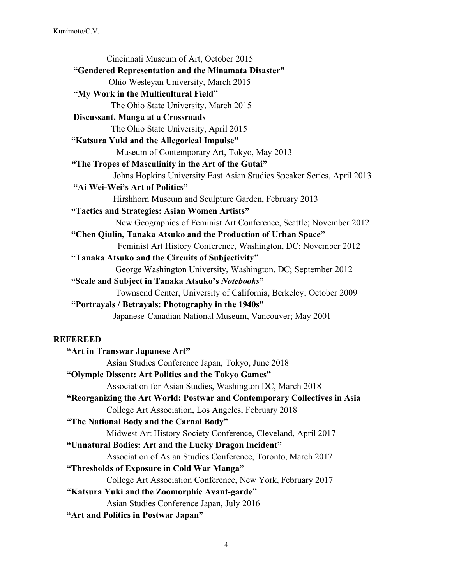Cincinnati Museum of Art, October 2015  **"Gendered Representation and the Minamata Disaster"** Ohio Wesleyan University, March 2015  **"My Work in the Multicultural Field"** The Ohio State University, March 2015  **Discussant, Manga at a Crossroads** The Ohio State University, April 2015  **"Katsura Yuki and the Allegorical Impulse"** Museum of Contemporary Art, Tokyo, May 2013  **"The Tropes of Masculinity in the Art of the Gutai"** Johns Hopkins University East Asian Studies Speaker Series, April 2013  **"Ai Wei-Wei's Art of Politics"** Hirshhorn Museum and Sculpture Garden, February 2013 **"Tactics and Strategies: Asian Women Artists"**  New Geographies of Feminist Art Conference, Seattle; November 2012 **"Chen Qiulin, Tanaka Atsuko and the Production of Urban Space"** Feminist Art History Conference, Washington, DC; November 2012 **"Tanaka Atsuko and the Circuits of Subjectivity"**  George Washington University, Washington, DC; September 2012  **"Scale and Subject in Tanaka Atsuko's** *Notebooks***"** Townsend Center, University of California, Berkeley; October 2009  **"Portrayals / Betrayals: Photography in the 1940s"** Japanese-Canadian National Museum, Vancouver; May 2001 **REFEREED "Art in Transwar Japanese Art"** Asian Studies Conference Japan, Tokyo, June 2018 **"Olympic Dissent: Art Politics and the Tokyo Games"** Association for Asian Studies, Washington DC, March 2018  **"Reorganizing the Art World: Postwar and Contemporary Collectives in Asia**  College Art Association, Los Angeles, February 2018 **"The National Body and the Carnal Body"** Midwest Art History Society Conference, Cleveland, April 2017 **"Unnatural Bodies: Art and the Lucky Dragon Incident"** Association of Asian Studies Conference, Toronto, March 2017 **"Thresholds of Exposure in Cold War Manga"** College Art Association Conference, New York, February 2017 **"Katsura Yuki and the Zoomorphic Avant-garde"** Asian Studies Conference Japan, July 2016 **"Art and Politics in Postwar Japan"**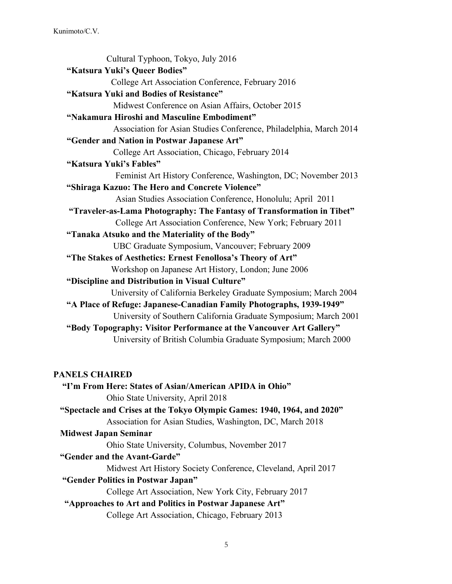Cultural Typhoon, Tokyo, July 2016  **"Katsura Yuki's Queer Bodies"** College Art Association Conference, February 2016  **"Katsura Yuki and Bodies of Resistance"** Midwest Conference on Asian Affairs, October 2015  **"Nakamura Hiroshi and Masculine Embodiment"** Association for Asian Studies Conference, Philadelphia, March 2014  **"Gender and Nation in Postwar Japanese Art"** College Art Association, Chicago, February 2014  **"Katsura Yuki's Fables"** Feminist Art History Conference, Washington, DC; November 2013 **"Shiraga Kazuo: The Hero and Concrete Violence"**  Asian Studies Association Conference, Honolulu; April 2011 **"Traveler-as-Lama Photography: The Fantasy of Transformation in Tibet"** College Art Association Conference, New York; February 2011 **"Tanaka Atsuko and the Materiality of the Body"**  UBC Graduate Symposium, Vancouver; February 2009 **"The Stakes of Aesthetics: Ernest Fenollosa's Theory of Art"**  Workshop on Japanese Art History, London; June 2006 **"Discipline and Distribution in Visual Culture"** University of California Berkeley Graduate Symposium; March 2004 **"A Place of Refuge: Japanese-Canadian Family Photographs, 1939-1949"**  University of Southern California Graduate Symposium; March 2001 **"Body Topography: Visitor Performance at the Vancouver Art Gallery"** University of British Columbia Graduate Symposium; March 2000

#### **PANELS CHAIRED**

 **"I'm From Here: States of Asian/American APIDA in Ohio"** Ohio State University, April 2018  **"Spectacle and Crises at the Tokyo Olympic Games: 1940, 1964, and 2020"** Association for Asian Studies, Washington, DC, March 2018  **Midwest Japan Seminar** Ohio State University, Columbus, November 2017  **"Gender and the Avant-Garde"** Midwest Art History Society Conference, Cleveland, April 2017  **"Gender Politics in Postwar Japan"** College Art Association, New York City, February 2017  **"Approaches to Art and Politics in Postwar Japanese Art"** College Art Association, Chicago, February 2013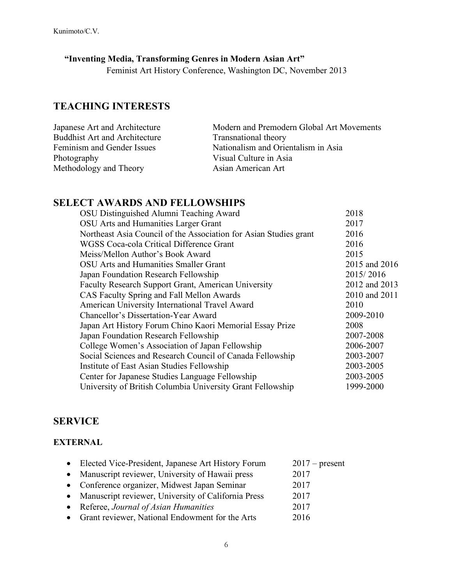## **"Inventing Media, Transforming Genres in Modern Asian Art"**

Feminist Art History Conference, Washington DC, November 2013

# **TEACHING INTERESTS**

| Japanese Art and Architecture        | Modern and Premodern Global Art Movements |
|--------------------------------------|-------------------------------------------|
| <b>Buddhist Art and Architecture</b> | Transnational theory                      |
| Feminism and Gender Issues           | Nationalism and Orientalism in Asia       |
| Photography                          | Visual Culture in Asia                    |
| Methodology and Theory               | Asian American Art                        |

## **SELECT AWARDS AND FELLOWSHIPS**

| OSU Distinguished Alumni Teaching Award                           | 2018          |
|-------------------------------------------------------------------|---------------|
| OSU Arts and Humanities Larger Grant                              | 2017          |
| Northeast Asia Council of the Association for Asian Studies grant | 2016          |
| WGSS Coca-cola Critical Difference Grant                          | 2016          |
| Meiss/Mellon Author's Book Award                                  | 2015          |
| OSU Arts and Humanities Smaller Grant                             | 2015 and 2016 |
| Japan Foundation Research Fellowship                              | 2015/2016     |
| <b>Faculty Research Support Grant, American University</b>        | 2012 and 2013 |
| CAS Faculty Spring and Fall Mellon Awards                         | 2010 and 2011 |
| American University International Travel Award                    | 2010          |
| Chancellor's Dissertation-Year Award                              | 2009-2010     |
| Japan Art History Forum Chino Kaori Memorial Essay Prize          | 2008          |
| Japan Foundation Research Fellowship                              | 2007-2008     |
| College Women's Association of Japan Fellowship                   | 2006-2007     |
| Social Sciences and Research Council of Canada Fellowship         | 2003-2007     |
| Institute of East Asian Studies Fellowship                        | 2003-2005     |
| Center for Japanese Studies Language Fellowship                   | 2003-2005     |
| University of British Columbia University Grant Fellowship        | 1999-2000     |

## **SERVICE**

#### **EXTERNAL**

| • Elected Vice-President, Japanese Art History Forum  | $2017$ – present |
|-------------------------------------------------------|------------------|
| • Manuscript reviewer, University of Hawaii press     | 2017             |
| • Conference organizer, Midwest Japan Seminar         | 2017             |
| • Manuscript reviewer, University of California Press | 2017             |
| • Referee, Journal of Asian Humanities                | 2017             |
| • Grant reviewer, National Endowment for the Arts     | 2016             |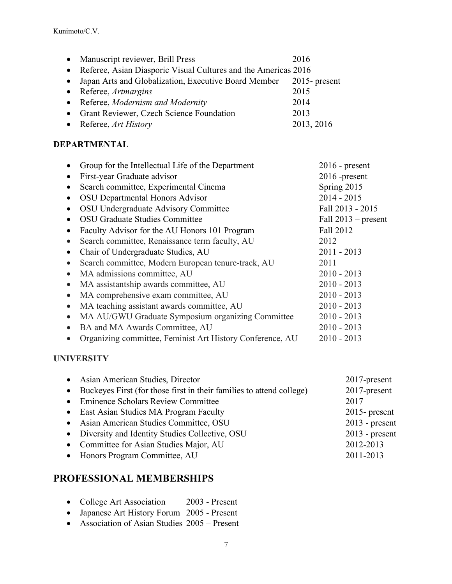|           | • Manuscript reviewer, Brill Press                                | 2016       |
|-----------|-------------------------------------------------------------------|------------|
|           | • Referee, Asian Diasporic Visual Cultures and the Americas 2016  |            |
| $\bullet$ | Japan Arts and Globalization, Executive Board Member 2015-present |            |
|           | • Referee, $Artmargins$                                           | 2015       |
|           | • Referee, Modernism and Modernity                                | 2014       |
|           | • Grant Reviewer, Czech Science Foundation                        | 2013       |
|           | • Referee, $Art History$                                          | 2013, 2016 |
|           |                                                                   |            |

#### **DEPARTMENTAL**

|           | Group for the Intellectual Life of the Department         | $2016$ - present      |
|-----------|-----------------------------------------------------------|-----------------------|
| $\bullet$ | First-year Graduate advisor                               | 2016 -present         |
| $\bullet$ | Search committee, Experimental Cinema                     | Spring 2015           |
|           | <b>OSU</b> Departmental Honors Advisor                    | $2014 - 2015$         |
|           | OSU Undergraduate Advisory Committee                      | Fall 2013 - 2015      |
|           | <b>OSU Graduate Studies Committee</b>                     | Fall $2013$ – present |
| $\bullet$ | Faculty Advisor for the AU Honors 101 Program             | Fall 2012             |
| $\bullet$ | Search committee, Renaissance term faculty, AU            | 2012                  |
|           | Chair of Undergraduate Studies, AU                        | $2011 - 2013$         |
| $\bullet$ | Search committee, Modern European tenure-track, AU        | 2011                  |
| $\bullet$ | MA admissions committee, AU                               | $2010 - 2013$         |
| $\bullet$ | MA assistantship awards committee, AU                     | $2010 - 2013$         |
| $\bullet$ | MA comprehensive exam committee, AU                       | $2010 - 2013$         |
| $\bullet$ | MA teaching assistant awards committee, AU                | $2010 - 2013$         |
| $\bullet$ | MA AU/GWU Graduate Symposium organizing Committee         | $2010 - 2013$         |
| $\bullet$ | BA and MA Awards Committee, AU                            | $2010 - 2013$         |
|           | Organizing committee, Feminist Art History Conference, AU | $2010 - 2013$         |
|           |                                                           |                       |

### **UNIVERSITY**

| • Asian American Studies, Director                                     | 2017-present     |
|------------------------------------------------------------------------|------------------|
| • Buckeyes First (for those first in their families to attend college) | 2017-present     |
| • Eminence Scholars Review Committee                                   | 2017             |
| • East Asian Studies MA Program Faculty                                | $2015$ - present |
| • Asian American Studies Committee, OSU                                | $2013$ - present |
| • Diversity and Identity Studies Collective, OSU                       | $2013$ - present |
| • Committee for Asian Studies Major, AU                                | 2012-2013        |
| • Honors Program Committee, AU                                         | 2011-2013        |

# **PROFESSIONAL MEMBERSHIPS**

- College Art Association 2003 Present
- Japanese Art History Forum 2005 Present
- Association of Asian Studies 2005 Present